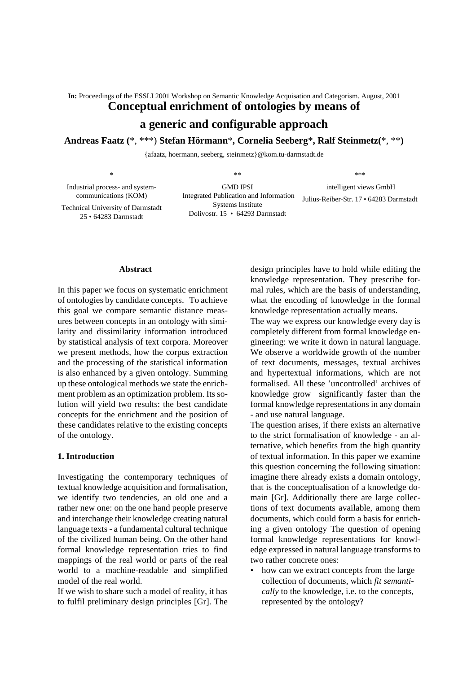**In:** Proceedings of the ESSLI 2001 Workshop on Semantic Knowledge Acquisation and Categorism. August, 2001

# **Conceptual enrichment of ontologies by means of**

# **a generic and configurable approach**

**Andreas Faatz (**\*, \*\*\*) **Stefan Hörmann**\***, Cornelia Seeberg**\***, Ralf Steinmetz(**\*, \*\***)**

{afaatz, hoermann, seeberg, steinmetz}@kom.tu-darmstadt.de

\* Industrial process- and systemcommunications (KOM) Technical University of Darmstadt 25 • 64283 Darmstadt \*\* GMD IPSI Integrated Publication and Information Systems Institute Dolivostr. 15 • 64293 Darmstadt \*\*\* intelligent views GmbH Julius-Reiber-Str. 17 • 64283 Darmstadt

#### **Abstract**

In this paper we focus on systematic enrichment of ontologies by candidate concepts. To achieve this goal we compare semantic distance measures between concepts in an ontology with similarity and dissimilarity information introduced by statistical analysis of text corpora. Moreover we present methods, how the corpus extraction and the processing of the statistical information is also enhanced by a given ontology. Summing up these ontological methods we state the enrichment problem as an optimization problem. Its solution will yield two results: the best candidate concepts for the enrichment and the position of these candidates relative to the existing concepts of the ontology.

#### **1. Introduction**

Investigating the contemporary techniques of textual knowledge acquisition and formalisation, we identify two tendencies, an old one and a rather new one: on the one hand people preserve and interchange their knowledge creating natural language texts - a fundamental cultural technique of the civilized human being. On the other hand formal knowledge representation tries to find mappings of the real world or parts of the real world to a machine-readable and simplified model of the real world.

If we wish to share such a model of reality, it has to fulfil preliminary design principles [Gr]. The

design principles have to hold while editing the knowledge representation. They prescribe formal rules, which are the basis of understanding, what the encoding of knowledge in the formal knowledge representation actually means.

The way we express our knowledge every day is completely different from formal knowledge engineering: we write it down in natural language. We observe a worldwide growth of the number of text documents, messages, textual archives and hypertextual informations, which are not formalised. All these 'uncontrolled' archives of knowledge grow significantly faster than the formal knowledge representations in any domain - and use natural language.

The question arises, if there exists an alternative to the strict formalisation of knowledge - an alternative, which benefits from the high quantity of textual information. In this paper we examine this question concerning the following situation: imagine there already exists a domain ontology, that is the conceptualisation of a knowledge domain [Gr]. Additionally there are large collections of text documents available, among them documents, which could form a basis for enriching a given ontology The question of opening formal knowledge representations for knowledge expressed in natural language transforms to two rather concrete ones:

• how can we extract concepts from the large collection of documents, which *fit semantically* to the knowledge, i.e. to the concepts, represented by the ontology?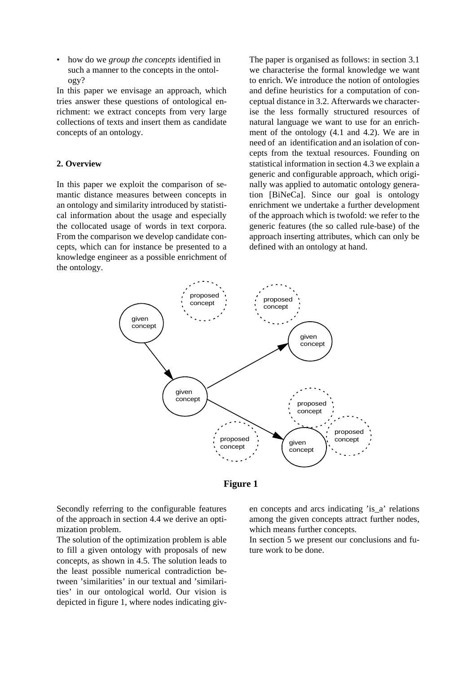• how do we *group the concepts* identified in such a manner to the concepts in the ontology?

In this paper we envisage an approach, which tries answer these questions of ontological enrichment: we extract concepts from very large collections of texts and insert them as candidate concepts of an ontology.

# **2. Overview**

In this paper we exploit the comparison of semantic distance measures between concepts in an ontology and similarity introduced by statistical information about the usage and especially the collocated usage of words in text corpora. From the comparison we develop candidate concepts, which can for instance be presented to a knowledge engineer as a possible enrichment of the ontology.

The paper is organised as follows: in section 3.1 we characterise the formal knowledge we want to enrich. We introduce the notion of ontologies and define heuristics for a computation of conceptual distance in 3.2. Afterwards we characterise the less formally structured resources of natural language we want to use for an enrichment of the ontology (4.1 and 4.2). We are in need of an identification and an isolation of concepts from the textual resources. Founding on statistical information in section 4.3 we explain a generic and configurable approach, which originally was applied to automatic ontology generation [BiNeCa]. Since our goal is ontology enrichment we undertake a further development of the approach which is twofold: we refer to the generic features (the so called rule-base) of the approach inserting attributes, which can only be defined with an ontology at hand.





Secondly referring to the configurable features of the approach in section 4.4 we derive an optimization problem.

The solution of the optimization problem is able to fill a given ontology with proposals of new concepts, as shown in 4.5. The solution leads to the least possible numerical contradiction between 'similarities' in our textual and 'similarities' in our ontological world. Our vision is depicted in figure 1, where nodes indicating given concepts and arcs indicating 'is\_a' relations among the given concepts attract further nodes, which means further concepts.

In section 5 we present our conclusions and future work to be done.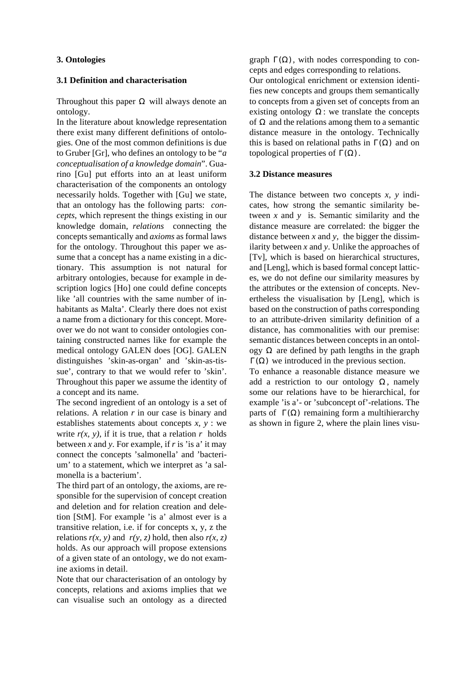# **3. Ontologies**

#### **3.1 Definition and characterisation**

Throughout this paper  $\Omega$  will always denote an ontology.

In the literature about knowledge representation there exist many different definitions of ontologies. One of the most common definitions is due to Gruber [Gr], who defines an ontology to be "*a conceptualisation of a knowledge domain*". Guarino [Gu] put efforts into an at least uniform characterisation of the components an ontology necessarily holds. Together with [Gu] we state, that an ontology has the following parts: *concepts*, which represent the things existing in our knowledge domain, *relations* connecting the concepts semantically and *axioms* as formal laws for the ontology. Throughout this paper we assume that a concept has a name existing in a dictionary. This assumption is not natural for arbitrary ontologies, because for example in description logics [Ho] one could define concepts like 'all countries with the same number of inhabitants as Malta'. Clearly there does not exist a name from a dictionary for this concept. Moreover we do not want to consider ontologies containing constructed names like for example the medical ontology GALEN does [OG]. GALEN distinguishes 'skin-as-organ' and 'skin-as-tissue', contrary to that we would refer to 'skin'. Throughout this paper we assume the identity of a concept and its name.

The second ingredient of an ontology is a set of relations. A relation *r* in our case is binary and establishes statements about concepts *x, y* : we write  $r(x, y)$ , if it is true, that a relation r holds between *x* and *y*. For example, if *r* is 'is a' it may connect the concepts 'salmonella' and 'bacterium' to a statement, which we interpret as 'a salmonella is a bacterium'.

The third part of an ontology, the axioms, are responsible for the supervision of concept creation and deletion and for relation creation and deletion [StM]. For example 'is a' almost ever is a transitive relation, i.e. if for concepts x, y, z the relations  $r(x, y)$  and  $r(y, z)$  hold, then also  $r(x, z)$ holds. As our approach will propose extensions of a given state of an ontology, we do not examine axioms in detail.

Note that our characterisation of an ontology by concepts, relations and axioms implies that we can visualise such an ontology as a directed

graph  $\Gamma(\Omega)$ , with nodes corresponding to concepts and edges corresponding to relations.

Our ontological enrichment or extension identifies new concepts and groups them semantically to concepts from a given set of concepts from an existing ontology  $\Omega$ : we translate the concepts of  $\Omega$  and the relations among them to a semantic distance measure in the ontology. Technically this is based on relational paths in  $\Gamma(\Omega)$  and on topological properties of  $\Gamma(\Omega)$ .

# **3.2 Distance measures**

The distance between two concepts *x, y* indicates, how strong the semantic similarity between *x* and *y* is. Semantic similarity and the distance measure are correlated: the bigger the distance between *x* and *y,* the bigger the dissimilarity between *x* and *y*. Unlike the approaches of [Tv], which is based on hierarchical structures, and [Leng], which is based formal concept lattices, we do not define our similarity measures by the attributes or the extension of concepts. Nevertheless the visualisation by [Leng], which is based on the construction of paths corresponding to an attribute-driven similarity definition of a distance, has commonalities with our premise: semantic distances between concepts in an ontology  $\Omega$  are defined by path lengths in the graph  $Γ(Ω)$  we introduced in the previous section.

To enhance a reasonable distance measure we add a restriction to our ontology  $\Omega$ , namely some our relations have to be hierarchical, for example 'is a'- or 'subconcept of'-relations. The parts of  $\Gamma(\Omega)$  remaining form a multihierarchy as shown in figure 2, where the plain lines visu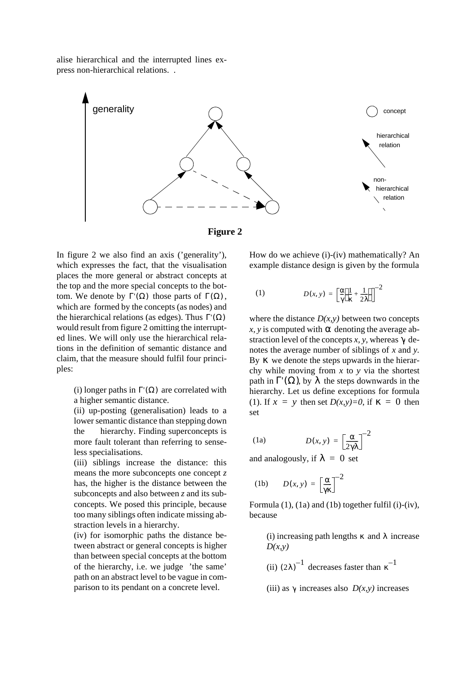alise hierarchical and the interrupted lines express non-hierarchical relations. .





In figure 2 we also find an axis ('generality'), which expresses the fact, that the visualisation places the more general or abstract concepts at the top and the more special concepts to the bottom. We denote by  $\Gamma'(\Omega)$  those parts of  $\Gamma(\Omega)$ ,  $D(x, y) =$ which are formed by the concepts (as nodes) and the hierarchical relations (as edges). Thus  $\Gamma(\Omega)$ would result from figure 2 omitting the interrupted lines. We will only use the hierarchical relations in the definition of semantic distance and claim, that the measure should fulfil four principles:

(i) longer paths in  $\Gamma(\Omega)$  are correlated with a higher semantic distance.

(ii) up-posting (generalisation) leads to a lower semantic distance than stepping down the hierarchy. Finding superconcepts is more fault tolerant than referring to sense-  $(1a)$   $D(x, y) =$ less specialisations.

(iii) siblings increase the distance: this means the more subconcepts one concept *z* has, the higher is the distance between the subconcepts and also between *z* and its subconcepts. We posed this principle, because too many siblings often indicate missing abstraction levels in a hierarchy.

(iv) for isomorphic paths the distance between abstract or general concepts is higher than between special concepts at the bottom of the hierarchy, i.e. we judge 'the same' path on an abstract level to be vague in comparison to its pendant on a concrete level.

How do we achieve (i)-(iv) mathematically? An example distance design is given by the formula

(1) 
$$
D(x, y) = \left[\frac{\alpha}{\gamma} \left(\frac{1}{\kappa} + \frac{1}{2\lambda}\right)\right]^{-2}
$$

where the distance  $D(x, y)$  between two concepts  $x$ , y is computed with  $\alpha$  denoting the average abstraction level of the concepts  $x$ ,  $y$ , whereas  $\gamma$  denotes the average number of siblings of *x* and *y.* By *κ* we denote the steps upwards in the hierarchy while moving from *x* to *y* via the shortest path in  $\Gamma'(\Omega)$ , by  $\lambda$  the steps downwards in the hierarchy. Let us define exceptions for formula (1). If  $x = y$  then set  $D(x, y)=0$ , if  $\kappa = 0$  then set

(1a) 
$$
D(x, y) = \left[\frac{\alpha}{2\gamma\lambda}\right]^{-2}
$$

and analogously, if  $\lambda = 0$  set

$$
(1b) \qquad D(x, y) = \left[\frac{\alpha}{\gamma \kappa}\right]^{-2}
$$

Formula  $(1)$ ,  $(1a)$  and  $(1b)$  together fulfil  $(i)-(iv)$ , because

> (i) increasing path lengths  $\kappa$  and  $\lambda$  increase *D(x,y)*

(ii)  $(2\lambda)^{-1}$  decreases faster than  $\kappa^{-1}$ 

(iii) as  $\gamma$  increases also  $D(x, y)$  increases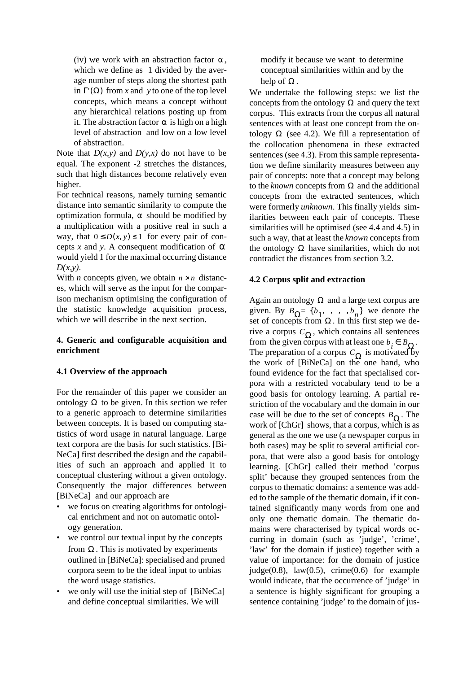(iv) we work with an abstraction factor  $\alpha$ , which we define as 1 divided by the average number of steps along the shortest path in  $\Gamma(\Omega)$  from *x* and *y* to one of the top level concepts, which means a concept without any hierarchical relations posting up from it. The abstraction factor  $\alpha$  is high on a high level of abstraction and low on a low level of abstraction.

Note that  $D(x, y)$  and  $D(y, x)$  do not have to be equal. The exponent -2 stretches the distances, such that high distances become relatively even higher.

For technical reasons, namely turning semantic distance into semantic similarity to compute the optimization formula,  $\alpha$  should be modified by a multiplication with a positive real in such a way, that  $0 \le D(x, y) \le 1$  for every pair of concepts *x* and *y*. A consequent modification of  $\alpha$ would yield 1 for the maximal occurring distance *D(x,y)*.

With *n* concepts given, we obtain  $n \times n$  distances, which will serve as the input for the comparison mechanism optimising the configuration of the statistic knowledge acquisition process, which we will describe in the next section.

# **4. Generic and configurable acquisition and enrichment**

# **4.1 Overview of the approach**

For the remainder of this paper we consider an ontology  $\Omega$  to be given. In this section we refer to a generic approach to determine similarities between concepts. It is based on computing statistics of word usage in natural language. Large text corpora are the basis for such statistics. [Bi-NeCa] first described the design and the capabilities of such an approach and applied it to conceptual clustering without a given ontology. Consequently the major differences between [BiNeCa] and our approach are

- we focus on creating algorithms for ontological enrichment and not on automatic ontology generation.
- we control our textual input by the concepts from  $\Omega$ . This is motivated by experiments outlined in [BiNeCa]: specialised and pruned corpora seem to be the ideal input to unbias the word usage statistics.
- we only will use the initial step of [BiNeCa] and define conceptual similarities. We will

modify it because we want to determine conceptual similarities within and by the help of  $\Omega$ .

We undertake the following steps: we list the concepts from the ontology  $\Omega$  and query the text corpus. This extracts from the corpus all natural sentences with at least one concept from the ontology  $\Omega$  (see 4.2). We fill a representation of the collocation phenomena in these extracted sentences (see 4.3). From this sample representation we define similarity measures between any pair of concepts: note that a concept may belong to the *known* concepts from  $\Omega$  and the additional concepts from the extracted sentences, which were formerly *unknown*. This finally yields similarities between each pair of concepts. These similarities will be optimised (see 4.4 and 4.5) in such a way, that at least the *known* concepts from the ontology  $\Omega$  have similarities, which do not contradict the distances from section 3.2.

# **4.2 Corpus split and extraction**

Again an ontology  $\Omega$  and a large text corpus are given. By  $B_{\Omega} = \{b_1, \ldots, b_n\}$  we denote the set of concepts from  $\Omega$ . In this first step we derive a corpus  $C_{\Omega}$ , which contains all sentences from the given corpus with at least one  $b_i \in B_{\Omega}$ . The preparation of a corpus  $C_{\Omega}$  is motivated by the work of [BiNeCa] on the one hand, who found evidence for the fact that specialised corpora with a restricted vocabulary tend to be a good basis for ontology learning. A partial restriction of the vocabulary and the domain in our case will be due to the set of concepts  $B_{\Omega}$ . The work of [ChGr] shows, that a corpus, which is as general as the one we use (a newspaper corpus in both cases) may be split to several artificial corpora, that were also a good basis for ontology learning. [ChGr] called their method 'corpus split' because they grouped sentences from the corpus to thematic domains: a sentence was added to the sample of the thematic domain, if it contained significantly many words from one and only one thematic domain. The thematic domains were characterised by typical words occurring in domain (such as 'judge', 'crime', 'law' for the domain if justice) together with a value of importance: for the domain of justice judge $(0.8)$ , law $(0.5)$ , crime $(0.6)$  for example would indicate, that the occurrence of 'judge' in a sentence is highly significant for grouping a sentence containing 'judge' to the domain of jus- $B_{\Omega} = \{ b_1, , , , , b_n \}$ Ω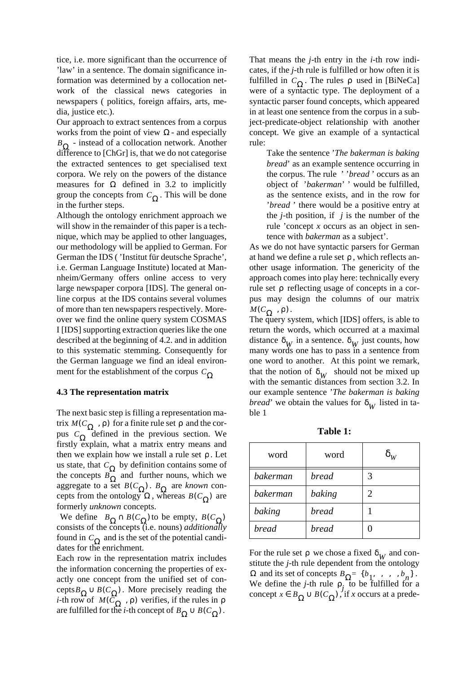tice, i.e. more significant than the occurrence of 'law' in a sentence. The domain significance information was determined by a collocation network of the classical news categories in newspapers ( politics, foreign affairs, arts, media, justice etc.).

Our approach to extract sentences from a corpus works from the point of view  $\Omega$  - and especially *B*<sub>Ω</sub> - instead of a collocation network. Another difference to [ChGr] is, that we do not categorise the extracted sentences to get specialised text corpora. We rely on the powers of the distance measures for  $\Omega$  defined in 3.2 to implicitly group the concepts from  $C_{\Omega}$ . This will be done in the further steps.

Although the ontology enrichment approach we will show in the remainder of this paper is a technique, which may be applied to other languages, our methodology will be applied to German. For German the IDS ( 'Institut für deutsche Sprache', i.e. German Language Institute) located at Mannheim/Germany offers online access to very large newspaper corpora [IDS]. The general online corpus at the IDS contains several volumes of more than ten newspapers respectively. Moreover we find the online query system COSMAS I [IDS] supporting extraction queries like the one described at the beginning of 4.2. and in addition to this systematic stemming. Consequently for the German language we find an ideal environment for the establishment of the corpus *C*Ω

#### **4.3 The representation matrix**

The next basic step is filling a representation matrix  $M(C_{\Omega}, \rho)$  for a finite rule set  $\rho$  and the corpus  $C_{\Omega}$  defined in the previous section. We firstly explain, what a matrix entry means and then we explain how we install a rule set  $\rho$ . Let us state, that  $C_{\Omega}$  by definition contains some of the concepts  $B_{\Omega}$  and further nouns, which we aggregate to a set  $B(C_{\Omega})$ .  $B_{\Omega}$  are *known* concepts from the ontology  $\Omega$ , whereas  $B(C_{\Omega})$  are formerly *unknown* concepts.  $M(C_{\Omega}^{\dagger}, \rho)$  for a finite rule set ρ *C*Ω *C*Ω *B*Ω *B*( $C_\Omega$ ). *B*<sub>Ω</sub>  $\Omega$ , whereas  $B(C_{\Omega})$ 

We define  $B_{\Omega} \cap B(C_{\Omega})$  to be empty,  $B(C_{\Omega})$ consists of the concepts (i.e. nouns) *additionally* found in  $C_{\Omega}$  and is the set of the potential candidates for the enrichment.

Each row in the representation matrix includes the information concerning the properties of exactly one concept from the unified set of concepts  $B_{\Omega} \cup B(C_{\Omega})$ . More precisely reading the *i*-th row of  $M(\bar{C}_{\Omega}^{\dagger}, \rho)$  verifies, if the rules in are fulfilled for the *i*-th concept of  $B_{\Omega} \cup B(C_{\Omega})$ .  $M(\overline{C}_{\Omega}$ ,  $\rho)$  verifies, if the rules in  $\rho$  $B_{\Omega} \cup B(C_{\Omega})$ 

That means the *j*-th entry in the *i*-th row indicates, if the *j*-th rule is fulfilled or how often it is fulfilled in  $C_{\Omega}$ . The rules p used in [BiNeCa] were of a syntactic type. The deployment of a syntactic parser found concepts, which appeared in at least one sentence from the corpus in a subject-predicate-object relationship with another concept. We give an example of a syntactical rule:

> Take the sentence '*The bakerman is baking bread*' as an example sentence occurring in the corpus. The rule ' '*bread* ' occurs as an object of '*bakerman*' ' would be fulfilled, as the sentence exists, and in the row for '*bread* ' there would be a positive entry at the  $i$ -th position, if  $i$  is the number of the rule 'concept *x* occurs as an object in sentence with *bakerman* as a subject'.

As we do not have syntactic parsers for German at hand we define a rule set  $\rho$ , which reflects another usage information. The genericity of the approach comes into play here: technically every rule set  $\rho$  reflecting usage of concepts in a corpus may design the columns of our matrix  $M(C_{\Omega}^{\prime}, \rho).$ 

The query system, which [IDS] offers, is able to return the words, which occurred at a maximal distance  $\delta_W$  in a sentence.  $\delta_W$  just counts, how many words one has to pass in a sentence from one word to another. At this point we remark, that the notion of  $\delta_W$  should not be mixed up with the semantic distances from section 3.2. In our example sentence '*The bakerman is baking bread*' we obtain the values for  $\delta_W$  listed in table 1

**Table 1:** 

| word     | word         | $\delta_W$ |
|----------|--------------|------------|
| bakerman | bread        | 3          |
| bakerman | baking       | 2          |
| baking   | <b>bread</b> |            |
| bread    | bread        |            |

For the rule set  $\rho$  we chose a fixed  $\delta_W$  and constitute the *j*-th rule dependent from the ontology  $Ω$  and its set of concepts  $B_Ω = {b_1, \ldots, b_n}$ . We define the *j*-th rule  $\rho$ , to be fulfilled for a concept  $x \in B_{\Omega} \cup B(C_{\Omega})$ , if *x* occurs at a predeρ *j*  $x ∈ B$ <sub>Ω</sub> ∪  $B(C$ <sub>Ω</sub>)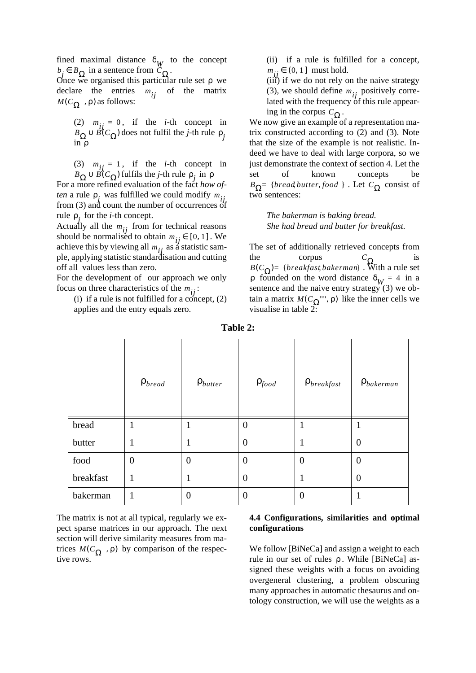fined maximal distance  $\delta_W$  to the concept  $b_j \in B_{\Omega}$  in a sentence from  $C_{\Omega}$ .

Once we organised this particular rule set  $ρ$  we declare the entries  $m_{ij}$  of the matrix  $MC_{\Omega}$ ,  $\rho$ ) as follows:

(2)  $m_{ij} = 0$ , if the *i*-th concept in  $B_{\Omega} \cup B(C_{\Omega})$  does not fulfil the *j*-th rule  $\rho_j$ in ρ

(3)  $m_{ii} = 1$ , if the *i*-th concept in fulfils the *j*-th rule  $\rho_i$  in  $m_{ij} = 1$  $B_{\Omega} \cup B(C_{\Omega})$  fulfils the *j*-th rule  $\rho_j$  in  $\rho$ 

For a more refined evaluation of the fact *how often* a rule  $\rho_j$  was fulfilled we could modify  $m_{ij}$ from (3) and count the number of occurrences of rule  $\rho_j$  for the *i*-th concept.

Actually all the  $m_{ij}$  from for technical reasons should be normalised to obtain  $m_{ij} \in [0, 1]$ . We achieve this by viewing all  $m_{ij}$  as a statistic sample, applying statistic standardisation and cutting off all values less than zero.

For the development of our approach we only focus on three characteristics of the  $m_{ij}$ :

(i) if a rule is not fulfilled for a concept,  $(2)$ applies and the entry equals zero.

(ii) if a rule is fulfilled for a concept,  $m_{ij}$  ∈ (0, 1] must hold.

(iii) if we do not rely on the naive strategy (3), we should define  $m_{ij}$  positively correlated with the frequency of this rule appearing in the corpus  $C_{\Omega}$ .

We now give an example of a representation matrix constructed according to (2) and (3). Note that the size of the example is not realistic. Indeed we have to deal with large corpora, so we just demonstrate the context of section 4. Let the set of known concepts be *B*<sub>Ω</sub>= {*bread,butter, food* }. Let  $C_{\Omega}$  consist of two sentences:

> *The bakerman is baking bread. She had bread and butter for breakfast.*

The set of additionally retrieved concepts from the corpus  $C_{\Omega}$  is . With a rule set p founded on the word distance  $\delta_{W} = 4$  in a sentence and the naive entry strategy (3) we obtain a matrix  $M(C_{\Omega}$ ",  $\rho)$  like the inner cells we visualise in table 2:  $C$ <sub>Ω</sub> *B*( $C_\Omega$ ) = {*breakfast*, *bakerman*}  $M(C_{\overline{\Omega}}$ "", ρ)

|           | $\rho_{\text{bread}}$ | $\rho_{butter}$  | $\rho_{food}$  | $\rho_{\text{breakfast}}$ | $\rho_{bakerman}$ |
|-----------|-----------------------|------------------|----------------|---------------------------|-------------------|
| bread     | 1                     |                  | $\overline{0}$ | 1                         |                   |
| butter    | $\mathbf{1}$          |                  | $\overline{0}$ | 1                         | $\overline{0}$    |
| food      | $\overline{0}$        | $\boldsymbol{0}$ | $\overline{0}$ | $\mathbf{0}$              | $\overline{0}$    |
| breakfast | 1                     | 1                | $\overline{0}$ | 1                         | $\overline{0}$    |
| bakerman  | 1                     | $\boldsymbol{0}$ | $\overline{0}$ | $\overline{0}$            |                   |

**Table 2:** 

The matrix is not at all typical, regularly we expect sparse matrices in our approach. The next section will derive similarity measures from matrices  $M(C_{\Omega}$ ,  $\rho)$  by comparison of the respective rows.

#### **4.4 Configurations, similarities and optimal configurations**

We follow [BiNeCa] and assign a weight to each rule in our set of rules ρ. While [BiNeCa] assigned these weights with a focus on avoiding overgeneral clustering, a problem obscuring many approaches in automatic thesaurus and ontology construction, we will use the weights as a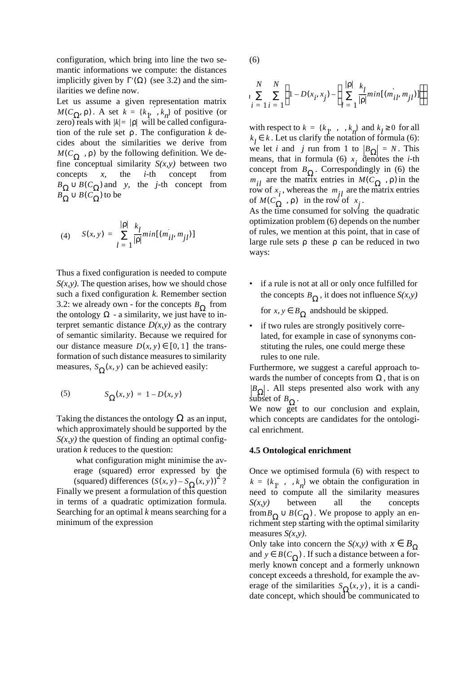configuration, which bring into line the two semantic informations we compute: the distances implicitly given by  $\Gamma(\Omega)$  (see 3.2) and the similarities we define now.

Let us assume a given representation matrix  $M(C_Ω<sub>2</sub>, ρ)$ . A set  $k = {k<sub>1</sub>, k<sub>n</sub>}$  of positive (or  $\chi$ zero) reals with  $|k| = |p|$  will be called configuration of the rule set  $\rho$ . The configuration  $k$  decides about the similarities we derive from  $M(C_{\Omega}^{\bullet}, \rho)$  by the following definition. We define conceptual similarity  $S(x, y)$  between two concepts *x,* the *i*-th concept from  $B_{\Omega} \cup B(C_{\Omega})$  and y, the *j*-th concept from  $B_{\Omega}^{-} \cup B(C_{\Omega}^{-})$  to be

(4) 
$$
S(x, y) = \sum_{l=1}^{|p|} \frac{k_l}{|p|} min[(m_{il}, m_{jl})]
$$

Thus a fixed configuration is needed to compute  $S(x, y)$ . The question arises, how we should chose such a fixed configuration *k*. Remember section 3.2: we already own - for the concepts  $B_{\Omega}$  from the ontology  $\Omega$  - a similarity, we just have to interpret semantic distance  $D(x, y)$  as the contrary of semantic similarity. Because we required for our distance measure  $D(x, y) \in [0, 1]$  the transformation of such distance measures to similarity measures,  $S_{\Omega}(x, y)$  can be achieved easily:

$$
(5) \qquad \qquad S_{\Omega}(x, y) = 1 - D(x, y)
$$

Taking the distances the ontology  $\Omega$  as an input, which approximately should be supported by the  $S(x, y)$  the question of finding an optimal configuration *k* reduces to the question:

 what configuration might minimise the average (squared) error expressed by the (squared) differences  $(S(x, y) - S_{\Omega}(x, y))^2$ ?

Finally we present a formulation of this question in terms of a quadratic optimization formula. Searching for an optimal *k* means searching for a minimum of the expression

(6)

$$
\sum_{i=1}^{N} \sum_{i=1}^{N} \left( 1 - D(x_i, x_j) - \left( \sum_{l=1}^{|p|} \frac{k_l}{|p|} min[(m_{il}, m_{jl})] \right) \right)
$$

with respect to  $k = \{k_1, \dots, k_n\}$  and  $k_l \ge 0$  for all  $k_l \in k$ . Let us clarify the notation of formula (6): we let *i* and *j* run from 1 to  $\left|B_{\Omega}\right| = N$ . This means, that in formula (6)  $x_i$  denotes the *i*-th concept from  $B_{\Omega}$ . Correspondingly in (6) the  $m_{il}$  are the matrix entries in  $M(C_{\Omega}^{\dagger}, \rho)$  in the row of  $x_i$ , whereas the  $m_{jl}$  are the matrix entries of  $M(C_{\Omega}^{r}$ ,  $\rho)$  in the row of  $x_{i}$ .

As the time consumed for solving the quadratic optimization problem (6) depends on the number of rules, we mention at this point, that in case of large rule sets  $\rho$  these  $\rho$  can be reduced in two ways:

• if a rule is not at all or only once fulfilled for the concepts  $B_{\Omega}$ , it does not influence *S(x,y)* 

for  $x, y \in B_{\Omega}$  and should be skipped.

• if two rules are strongly positively correlated, for example in case of synonyms constituting the rules, one could merge these rules to one rule.

Furthermore, we suggest a careful approach towards the number of concepts from  $\Omega$ , that is on . All steps presented also work with any subset of  $B_{\Omega}$ .  $B$ <sub>Ω</sub> *B*Ω

We now get to our conclusion and explain, which concepts are candidates for the ontological enrichment.

# **4.5 Ontological enrichment**

Once we optimised formula (6) with respect to  $k = \{k_1, \ldots, k_n\}$  we obtain the configuration in need to compute all the similarity measures *S(x,y)* between all the concepts from  $B_{\Omega} \cup B(C_{\Omega})$ . We propose to apply an enrichment step starting with the optimal similarity measures *S(x,y)*.

Only take into concern the *S*(*x,y*) with  $x \in B_{\Omega}$ and  $y \in B(C_{\Omega})$ . If such a distance between a formerly known concept and a formerly unknown concept exceeds a threshold, for example the average of the similarities  $S_{\Omega}(x, y)$ , it is a candidate concept, which should be communicated to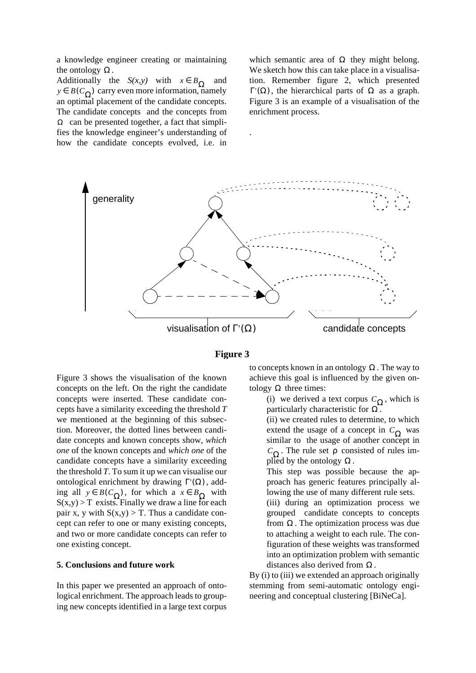a knowledge engineer creating or maintaining the ontology  $\Omega$ .

Additionally the *S(x,y)* with  $x \in B_{\Omega}$  and  $y \in B(C_{\Omega})$  carry even more information, namely an optimal placement of the candidate concepts. The candidate concepts and the concepts from  $\Omega$  can be presented together, a fact that simplifies the knowledge engineer's understanding of how the candidate concepts evolved, i.e. in

which semantic area of  $\Omega$  they might belong. We sketch how this can take place in a visualisation. Remember figure 2, which presented  $\Gamma(\Omega)$ , the hierarchical parts of  $\Omega$  as a graph. Figure 3 is an example of a visualisation of the enrichment process.



.

# **Figure 3**

Figure 3 shows the visualisation of the known concepts on the left. On the right the candidate concepts were inserted. These candidate concepts have a similarity exceeding the threshold *T* we mentioned at the beginning of this subsection. Moreover, the dotted lines between candidate concepts and known concepts show, *which one* of the known concepts and *which one* of the candidate concepts have a similarity exceeding the threshold *T*. To sum it up we can visualise our ontological enrichment by drawing  $\Gamma'(\Omega)$ , add- $\lim_{x \to a}$  all  $y \in B(C_{\Omega})$ , for which a  $x \in B_{\Omega}$  with  $S(x,y) > T$  exists. Finally we draw a line for each pair x, y with  $S(x,y) > T$ . Thus a candidate concept can refer to one or many existing concepts, and two or more candidate concepts can refer to one existing concept.

#### **5. Conclusions and future work**

In this paper we presented an approach of ontological enrichment. The approach leads to grouping new concepts identified in a large text corpus

to concepts known in an ontology  $\Omega$ . The way to achieve this goal is influenced by the given ontology  $\Omega$  three times:

(i) we derived a text corpus  $C_{\Omega}$ , which is particularly characteristic for  $\Omega$ .

(ii) we created rules to determine, to which extend the usage of a concept in  $C_{\Omega}$  was similar to the usage of another concept in C<sub>Ω</sub>. The rule set ρ consisted of rules implied by the ontology  $\Omega$ .

This step was possible because the approach has generic features principally allowing the use of many different rule sets.

(iii) during an optimization process we grouped candidate concepts to concepts from  $\Omega$ . The optimization process was due to attaching a weight to each rule. The configuration of these weights was transformed into an optimization problem with semantic distances also derived from  $\Omega$ .

By (i) to (iii) we extended an approach originally stemming from semi-automatic ontology engineering and conceptual clustering [BiNeCa].